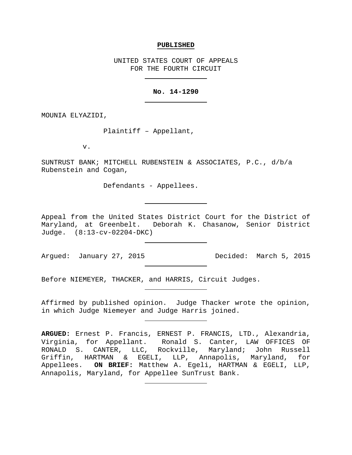#### **PUBLISHED**

UNITED STATES COURT OF APPEALS FOR THE FOURTH CIRCUIT

## **No. 14-1290**

MOUNIA ELYAZIDI,

Plaintiff – Appellant,

v.

SUNTRUST BANK; MITCHELL RUBENSTEIN & ASSOCIATES, P.C., d/b/a Rubenstein and Cogan,

Defendants - Appellees.

Appeal from the United States District Court for the District of Maryland, at Greenbelt. Deborah K. Chasanow, Senior District Judge. (8:13-cv-02204-DKC)

Argued: January 27, 2015 Government Decided: March 5, 2015

Before NIEMEYER, THACKER, and HARRIS, Circuit Judges.

Affirmed by published opinion. Judge Thacker wrote the opinion, in which Judge Niemeyer and Judge Harris joined.

**ARGUED:** Ernest P. Francis, ERNEST P. FRANCIS, LTD., Alexandria, Virginia, for Appellant. Ronald S. Canter, LAW OFFICES OF RONALD S. CANTER, LLC, Rockville, Maryland; John Russell Griffin, HARTMAN & EGELI, LLP, Annapolis, Maryland, for Appellees. **ON BRIEF:** Matthew A. Egeli, HARTMAN & EGELI, LLP, Annapolis, Maryland, for Appellee SunTrust Bank.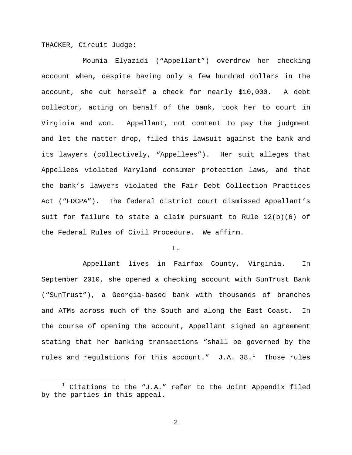THACKER, Circuit Judge:

Mounia Elyazidi ("Appellant") overdrew her checking account when, despite having only a few hundred dollars in the account, she cut herself a check for nearly \$10,000. A debt collector, acting on behalf of the bank, took her to court in Virginia and won. Appellant, not content to pay the judgment and let the matter drop, filed this lawsuit against the bank and its lawyers (collectively, "Appellees"). Her suit alleges that Appellees violated Maryland consumer protection laws, and that the bank's lawyers violated the Fair Debt Collection Practices Act ("FDCPA"). The federal district court dismissed Appellant's suit for failure to state a claim pursuant to Rule  $12(b)(6)$  of the Federal Rules of Civil Procedure. We affirm.

# I.

Appellant lives in Fairfax County, Virginia. In September 2010, she opened a checking account with SunTrust Bank ("SunTrust"), a Georgia-based bank with thousands of branches and ATMs across much of the South and along the East Coast. In the course of opening the account, Appellant signed an agreement stating that her banking transactions "shall be governed by the rules and regulations for this account."  $J.A. 38.^1$  $J.A. 38.^1$  Those rules

<span id="page-1-0"></span> $1$  Citations to the "J.A." refer to the Joint Appendix filed by the parties in this appeal.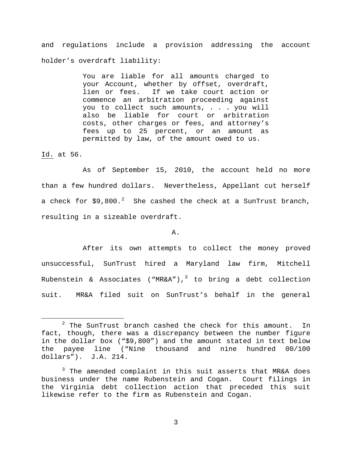and regulations include a provision addressing the account holder's overdraft liability:

> You are liable for all amounts charged to your Account, whether by offset, overdraft, lien or fees. If we take court action or commence an arbitration proceeding against you to collect such amounts, . . . you will also be liable for court or arbitration costs, other charges or fees, and attorney's fees up to 25 percent, or an amount as permitted by law, of the amount owed to us.

Id. at 56.

As of September 15, 2010, the account held no more than a few hundred dollars. Nevertheless, Appellant cut herself a check for  $$9,800.^2$  $$9,800.^2$  She cashed the check at a SunTrust branch, resulting in a sizeable overdraft.

A.

After its own attempts to collect the money proved unsuccessful, SunTrust hired a Maryland law firm, Mitchell Rubenstein & Associates ("MR&A"),<sup>[3](#page-2-1)</sup> to bring a debt collection suit. MR&A filed suit on SunTrust's behalf in the general

<span id="page-2-0"></span> $2$  The SunTrust branch cashed the check for this amount. In fact, though, there was a discrepancy between the number figure in the dollar box ("\$9,800") and the amount stated in text below the payee line ("Nine thousand and nine hundred 00/100 dollars"). J.A. 214.

<span id="page-2-1"></span><sup>&</sup>lt;sup>3</sup> The amended complaint in this suit asserts that MR&A does business under the name Rubenstein and Cogan. Court filings in the Virginia debt collection action that preceded this suit likewise refer to the firm as Rubenstein and Cogan.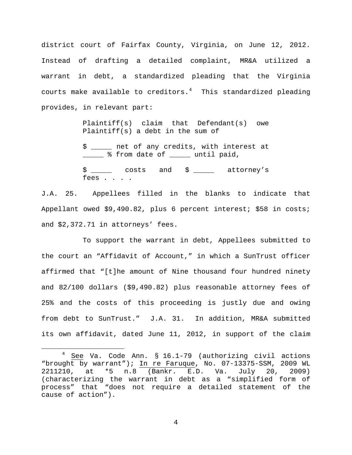district court of Fairfax County, Virginia, on June 12, 2012. Instead of drafting a detailed complaint, MR&A utilized a warrant in debt, a standardized pleading that the Virginia courts make available to creditors. $4$  This standardized pleading provides, in relevant part:

> Plaintiff(s) claim that Defendant(s) owe Plaintiff(s) a debt in the sum of

> \$ \_\_\_\_\_ net of any credits, with interest at \_\_\_\_\_ % from date of \_\_\_\_\_ until paid,

> \$ \_\_\_\_ costs and \$ \_\_\_\_ attorney's fees . . . .

J.A. 25. Appellees filled in the blanks to indicate that Appellant owed \$9,490.82, plus 6 percent interest; \$58 in costs; and \$2,372.71 in attorneys' fees.

To support the warrant in debt, Appellees submitted to the court an "Affidavit of Account," in which a SunTrust officer affirmed that "[t]he amount of Nine thousand four hundred ninety and 82/100 dollars (\$9,490.82) plus reasonable attorney fees of 25% and the costs of this proceeding is justly due and owing from debt to SunTrust." J.A. 31. In addition, MR&A submitted its own affidavit, dated June 11, 2012, in support of the claim

<span id="page-3-0"></span> $4$  See Va. Code Ann. § 16.1-79 (authorizing civil actions "brought by warrant"); In re Faruque, No. 07-13375-SSM, 2009 WL 2211210, at \*5 n.8 (Bankr. E.D. Va. July 20, 2009) (characterizing the warrant in debt as a "simplified form of process" that "does not require a detailed statement of the cause of action").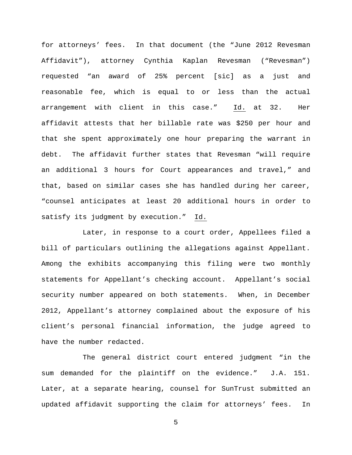for attorneys' fees. In that document (the "June 2012 Revesman Affidavit"), attorney Cynthia Kaplan Revesman ("Revesman") requested "an award of 25% percent [sic] as a just and reasonable fee, which is equal to or less than the actual arrangement with client in this case." Id. at 32. Her affidavit attests that her billable rate was \$250 per hour and that she spent approximately one hour preparing the warrant in debt. The affidavit further states that Revesman "will require an additional 3 hours for Court appearances and travel," and that, based on similar cases she has handled during her career, "counsel anticipates at least 20 additional hours in order to satisfy its judgment by execution." Id.

Later, in response to a court order, Appellees filed a bill of particulars outlining the allegations against Appellant. Among the exhibits accompanying this filing were two monthly statements for Appellant's checking account. Appellant's social security number appeared on both statements. When, in December 2012, Appellant's attorney complained about the exposure of his client's personal financial information, the judge agreed to have the number redacted.

The general district court entered judgment "in the sum demanded for the plaintiff on the evidence." J.A. 151. Later, at a separate hearing, counsel for SunTrust submitted an updated affidavit supporting the claim for attorneys' fees. In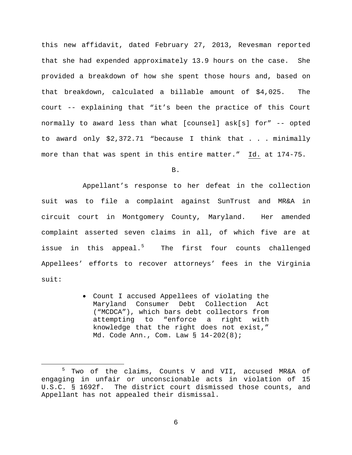this new affidavit, dated February 27, 2013, Revesman reported that she had expended approximately 13.9 hours on the case. She provided a breakdown of how she spent those hours and, based on that breakdown, calculated a billable amount of \$4,025. The court -- explaining that "it's been the practice of this Court normally to award less than what [counsel] ask[s] for" -- opted to award only \$2,372.71 "because I think that . . . minimally more than that was spent in this entire matter." Id. at 174-75.

B.

Appellant's response to her defeat in the collection suit was to file a complaint against SunTrust and MR&A in circuit court in Montgomery County, Maryland. Her amended complaint asserted seven claims in all, of which five are at issue in this appeal.<sup>[5](#page-5-0)</sup> The first four counts challenged Appellees' efforts to recover attorneys' fees in the Virginia suit:

> • Count I accused Appellees of violating the Maryland Consumer Debt Collection Act ("MCDCA"), which bars debt collectors from attempting to "enforce a right with knowledge that the right does not exist," Md. Code Ann., Com. Law § 14-202(8);

<span id="page-5-0"></span> <sup>5</sup> Two of the claims, Counts V and VII, accused MR&A of engaging in unfair or unconscionable acts in violation of 15 U.S.C. § 1692f. The district court dismissed those counts, and Appellant has not appealed their dismissal.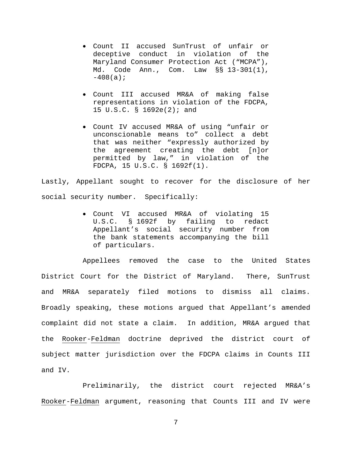- Count II accused SunTrust of unfair or deceptive conduct in violation of the Maryland Consumer Protection Act ("MCPA"), Md. Code Ann., Com. Law §§ 13-301(1),  $-408(a);$
- Count III accused MR&A of making false representations in violation of the FDCPA, 15 U.S.C. § 1692e(2); and
- Count IV accused MR&A of using "unfair or unconscionable means to" collect a debt that was neither "expressly authorized by the agreement creating the debt [n]or permitted by law," in violation of the FDCPA, 15 U.S.C. § 1692f(1).

Lastly, Appellant sought to recover for the disclosure of her social security number. Specifically:

> • Count VI accused MR&A of violating 15 U.S.C. § 1692f by failing to redact Appellant's social security number from the bank statements accompanying the bill of particulars.

Appellees removed the case to the United States District Court for the District of Maryland. There, SunTrust and MR&A separately filed motions to dismiss all claims. Broadly speaking, these motions argued that Appellant's amended complaint did not state a claim. In addition, MR&A argued that the Rooker-Feldman doctrine deprived the district court of subject matter jurisdiction over the FDCPA claims in Counts III and IV.

Preliminarily, the district court rejected MR&A's Rooker-Feldman argument, reasoning that Counts III and IV were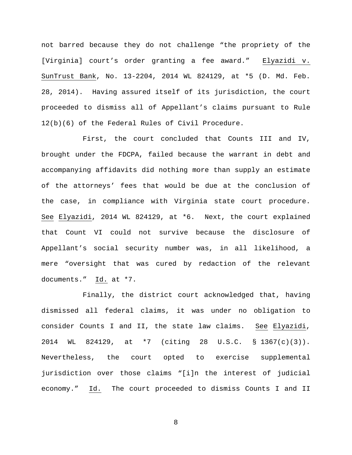not barred because they do not challenge "the propriety of the [Virginia] court's order granting a fee award." Elyazidi v. SunTrust Bank, No. 13-2204, 2014 WL 824129, at \*5 (D. Md. Feb. 28, 2014). Having assured itself of its jurisdiction, the court proceeded to dismiss all of Appellant's claims pursuant to Rule 12(b)(6) of the Federal Rules of Civil Procedure.

First, the court concluded that Counts III and IV, brought under the FDCPA, failed because the warrant in debt and accompanying affidavits did nothing more than supply an estimate of the attorneys' fees that would be due at the conclusion of the case, in compliance with Virginia state court procedure. See Elyazidi, 2014 WL 824129, at \*6. Next, the court explained that Count VI could not survive because the disclosure of Appellant's social security number was, in all likelihood, a mere "oversight that was cured by redaction of the relevant documents." Id. at \*7.

Finally, the district court acknowledged that, having dismissed all federal claims, it was under no obligation to consider Counts I and II, the state law claims. See Elyazidi, 2014 WL 824129, at \*7 (citing 28 U.S.C. § 1367(c)(3)). Nevertheless, the court opted to exercise supplemental jurisdiction over those claims "[i]n the interest of judicial economy." Id. The court proceeded to dismiss Counts I and II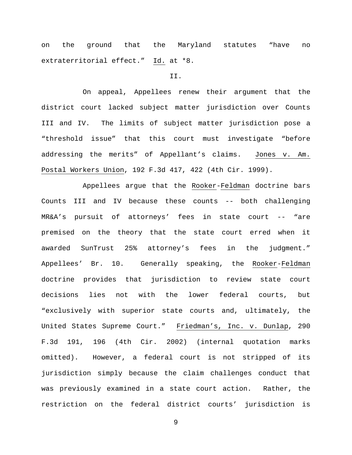on the ground that the Maryland statutes "have no extraterritorial effect." Id. at \*8.

#### II.

On appeal, Appellees renew their argument that the district court lacked subject matter jurisdiction over Counts III and IV. The limits of subject matter jurisdiction pose a "threshold issue" that this court must investigate "before addressing the merits" of Appellant's claims. Jones v. Am. Postal Workers Union, 192 F.3d 417, 422 (4th Cir. 1999).

Appellees argue that the Rooker-Feldman doctrine bars Counts III and IV because these counts -- both challenging MR&A's pursuit of attorneys' fees in state court -- "are premised on the theory that the state court erred when it awarded SunTrust 25% attorney's fees in the judgment." Appellees' Br. 10. Generally speaking, the Rooker-Feldman doctrine provides that jurisdiction to review state court decisions lies not with the lower federal courts, but "exclusively with superior state courts and, ultimately, the United States Supreme Court." Friedman's, Inc. v. Dunlap, 290 F.3d 191, 196 (4th Cir. 2002) (internal quotation marks omitted). However, a federal court is not stripped of its jurisdiction simply because the claim challenges conduct that was previously examined in a state court action. Rather, the restriction on the federal district courts' jurisdiction is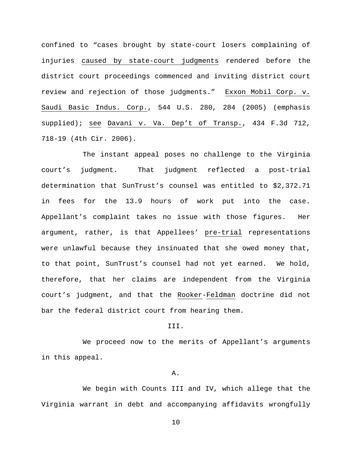confined to "cases brought by state-court losers complaining of injuries caused by state-court judgments rendered before the district court proceedings commenced and inviting district court review and rejection of those judgments." Exxon Mobil Corp. v. Saudi Basic Indus. Corp., 544 U.S. 280, 284 (2005) (emphasis supplied); see Davani v. Va. Dep't of Transp., 434 F.3d 712, 718-19 (4th Cir. 2006).

The instant appeal poses no challenge to the Virginia court's judgment. That judgment reflected a post-trial determination that SunTrust's counsel was entitled to \$2,372.71 in fees for the 13.9 hours of work put into the case. Appellant's complaint takes no issue with those figures. Her argument, rather, is that Appellees' pre-trial representations were unlawful because they insinuated that she owed money that, to that point, SunTrust's counsel had not yet earned. We hold, therefore, that her claims are independent from the Virginia court's judgment, and that the Rooker-Feldman doctrine did not bar the federal district court from hearing them.

### III.

We proceed now to the merits of Appellant's arguments in this appeal.

## A.

We begin with Counts III and IV, which allege that the Virginia warrant in debt and accompanying affidavits wrongfully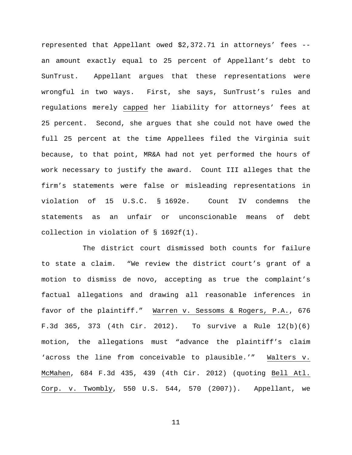represented that Appellant owed \$2,372.71 in attorneys' fees - an amount exactly equal to 25 percent of Appellant's debt to SunTrust. Appellant argues that these representations were wrongful in two ways. First, she says, SunTrust's rules and regulations merely capped her liability for attorneys' fees at 25 percent. Second, she argues that she could not have owed the full 25 percent at the time Appellees filed the Virginia suit because, to that point, MR&A had not yet performed the hours of work necessary to justify the award. Count III alleges that the firm's statements were false or misleading representations in violation of 15 U.S.C. § 1692e. Count IV condemns the statements as an unfair or unconscionable means of debt collection in violation of § 1692f(1).

The district court dismissed both counts for failure to state a claim. "We review the district court's grant of a motion to dismiss de novo, accepting as true the complaint's factual allegations and drawing all reasonable inferences in favor of the plaintiff." Warren v. Sessoms & Rogers, P.A., 676 F.3d 365, 373 (4th Cir. 2012). To survive a Rule 12(b)(6) motion, the allegations must "advance the plaintiff's claim 'across the line from conceivable to plausible.'" Walters v. McMahen, 684 F.3d 435, 439 (4th Cir. 2012) (quoting Bell Atl. Corp. v. Twombly, 550 U.S. 544, 570 (2007)). Appellant, we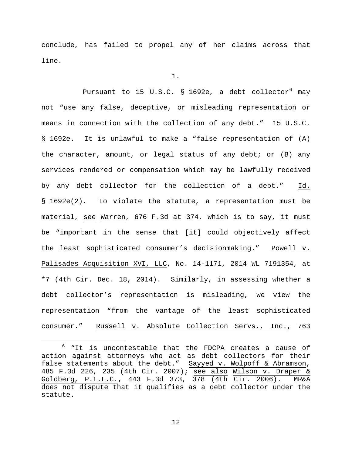conclude, has failed to propel any of her claims across that line.

1.

Pursuant to 15 U.S.C. § 1[6](#page-11-0)92e, a debt collector<sup>6</sup> may not "use any false, deceptive, or misleading representation or means in connection with the collection of any debt." 15 U.S.C. § 1692e. It is unlawful to make a "false representation of (A) the character, amount, or legal status of any debt; or (B) any services rendered or compensation which may be lawfully received by any debt collector for the collection of a debt." Id. § 1692e(2). To violate the statute, a representation must be material, see Warren, 676 F.3d at 374, which is to say, it must be "important in the sense that [it] could objectively affect the least sophisticated consumer's decisionmaking." Powell v. Palisades Acquisition XVI, LLC, No. 14-1171, 2014 WL 7191354, at \*7 (4th Cir. Dec. 18, 2014). Similarly, in assessing whether a debt collector's representation is misleading, we view the representation "from the vantage of the least sophisticated consumer." Russell v. Absolute Collection Servs., Inc., 763

<span id="page-11-0"></span> <sup>6</sup> "It is uncontestable that the FDCPA creates a cause of action against attorneys who act as debt collectors for their false statements about the debt." Sayyed v. Wolpoff & Abramson, 485 F.3d 226, 235 (4th Cir. 2007); see also Wilson v. Draper & Goldberg, P.L.L.C., 443 F.3d 373, 378 (4th Cir. 2006). MR&A does not dispute that it qualifies as a debt collector under the statute.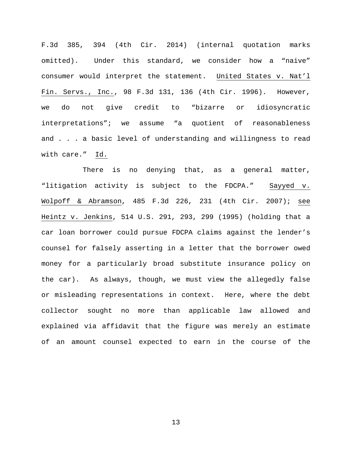F.3d 385, 394 (4th Cir. 2014) (internal quotation marks omitted). Under this standard, we consider how a "naive" consumer would interpret the statement. United States v. Nat'l Fin. Servs., Inc., 98 F.3d 131, 136 (4th Cir. 1996). However, we do not give credit to "bizarre or idiosyncratic interpretations"; we assume "a quotient of reasonableness and . . . a basic level of understanding and willingness to read with care." Id.

There is no denying that, as a general matter, "litigation activity is subject to the FDCPA." Sayyed v. Wolpoff & Abramson, 485 F.3d 226, 231 (4th Cir. 2007); see Heintz v. Jenkins, 514 U.S. 291, 293, 299 (1995) (holding that a car loan borrower could pursue FDCPA claims against the lender's counsel for falsely asserting in a letter that the borrower owed money for a particularly broad substitute insurance policy on the car). As always, though, we must view the allegedly false or misleading representations in context. Here, where the debt collector sought no more than applicable law allowed and explained via affidavit that the figure was merely an estimate of an amount counsel expected to earn in the course of the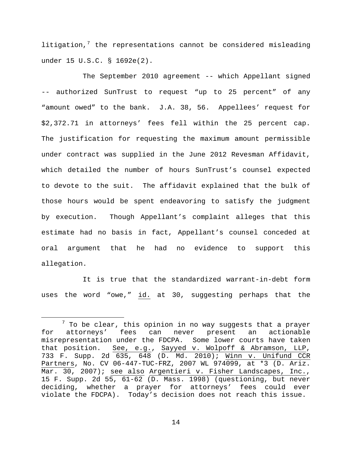litigation, $7$  the representations cannot be considered misleading under 15 U.S.C. § 1692e(2).

The September 2010 agreement -- which Appellant signed -- authorized SunTrust to request "up to 25 percent" of any "amount owed" to the bank. J.A. 38, 56. Appellees' request for \$2,372.71 in attorneys' fees fell within the 25 percent cap. The justification for requesting the maximum amount permissible under contract was supplied in the June 2012 Revesman Affidavit, which detailed the number of hours SunTrust's counsel expected to devote to the suit. The affidavit explained that the bulk of those hours would be spent endeavoring to satisfy the judgment by execution. Though Appellant's complaint alleges that this estimate had no basis in fact, Appellant's counsel conceded at oral argument that he had no evidence to support this allegation.

It is true that the standardized warrant-in-debt form uses the word "owe," id. at 30, suggesting perhaps that the

<span id="page-13-0"></span> $7$  To be clear, this opinion in no way suggests that a prayer for attorneys' fees can never present an actionable misrepresentation under the FDCPA. Some lower courts have taken that position. See, e.g., Sayyed v. Wolpoff & Abramson, LLP, 733 F. Supp. 2d 635, 648 (D. Md. 2010); Winn v. Unifund CCR Partners, No. CV 06-447-TUC-FRZ, 2007 WL 974099, at \*3 (D. Ariz. Mar. 30, 2007); see also Argentieri v. Fisher Landscapes, Inc., 15 F. Supp. 2d 55, 61-62 (D. Mass. 1998) (questioning, but never deciding, whether a prayer for attorneys' fees could ever violate the FDCPA). Today's decision does not reach this issue.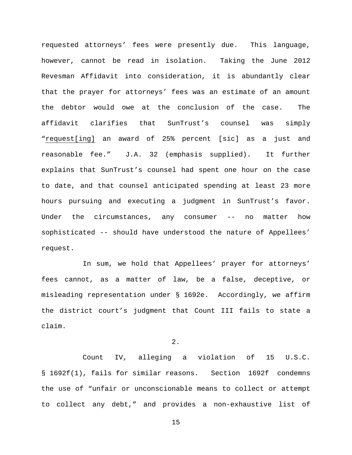requested attorneys' fees were presently due. This language, however, cannot be read in isolation. Taking the June 2012 Revesman Affidavit into consideration, it is abundantly clear that the prayer for attorneys' fees was an estimate of an amount the debtor would owe at the conclusion of the case. The affidavit clarifies that SunTrust's counsel was simply "request[ing] an award of 25% percent [sic] as a just and reasonable fee." J.A. 32 (emphasis supplied). It further explains that SunTrust's counsel had spent one hour on the case to date, and that counsel anticipated spending at least 23 more hours pursuing and executing a judgment in SunTrust's favor. Under the circumstances, any consumer -- no matter how sophisticated -- should have understood the nature of Appellees' request.

In sum, we hold that Appellees' prayer for attorneys' fees cannot, as a matter of law, be a false, deceptive, or misleading representation under § 1692e. Accordingly, we affirm the district court's judgment that Count III fails to state a claim.

2.

Count IV, alleging a violation of 15 U.S.C. § 1692f(1), fails for similar reasons. Section 1692f condemns the use of "unfair or unconscionable means to collect or attempt to collect any debt," and provides a non-exhaustive list of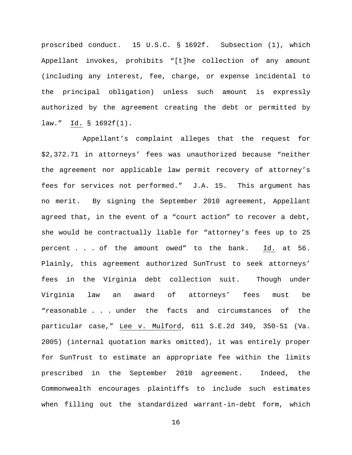proscribed conduct. 15 U.S.C. § 1692f. Subsection (1), which Appellant invokes, prohibits "[t]he collection of any amount (including any interest, fee, charge, or expense incidental to the principal obligation) unless such amount is expressly authorized by the agreement creating the debt or permitted by law." Id. § 1692f(1).

Appellant's complaint alleges that the request for \$2,372.71 in attorneys' fees was unauthorized because "neither the agreement nor applicable law permit recovery of attorney's fees for services not performed." J.A. 15. This argument has no merit. By signing the September 2010 agreement, Appellant agreed that, in the event of a "court action" to recover a debt, she would be contractually liable for "attorney's fees up to 25 percent . . . of the amount owed" to the bank.  $Id.$  at 56. Plainly, this agreement authorized SunTrust to seek attorneys' fees in the Virginia debt collection suit. Though under Virginia law an award of attorneys' fees must be "reasonable . . . under the facts and circumstances of the particular case," Lee v. Mulford, 611 S.E.2d 349, 350-51 (Va. 2005) (internal quotation marks omitted), it was entirely proper for SunTrust to estimate an appropriate fee within the limits prescribed in the September 2010 agreement. Indeed, the Commonwealth encourages plaintiffs to include such estimates when filling out the standardized warrant-in-debt form, which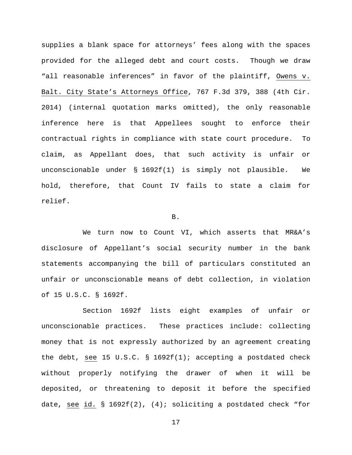supplies a blank space for attorneys' fees along with the spaces provided for the alleged debt and court costs. Though we draw "all reasonable inferences" in favor of the plaintiff, Owens v. Balt. City State's Attorneys Office, 767 F.3d 379, 388 (4th Cir. 2014) (internal quotation marks omitted), the only reasonable inference here is that Appellees sought to enforce their contractual rights in compliance with state court procedure. To claim, as Appellant does, that such activity is unfair or unconscionable under § 1692f(1) is simply not plausible. We hold, therefore, that Count IV fails to state a claim for relief.

#### B.

We turn now to Count VI, which asserts that MR&A's disclosure of Appellant's social security number in the bank statements accompanying the bill of particulars constituted an unfair or unconscionable means of debt collection, in violation of 15 U.S.C. § 1692f.

Section 1692f lists eight examples of unfair or unconscionable practices. These practices include: collecting money that is not expressly authorized by an agreement creating the debt, see 15 U.S.C. § 1692f(1); accepting a postdated check without properly notifying the drawer of when it will be deposited, or threatening to deposit it before the specified date, see id. § 1692f(2), (4); soliciting a postdated check "for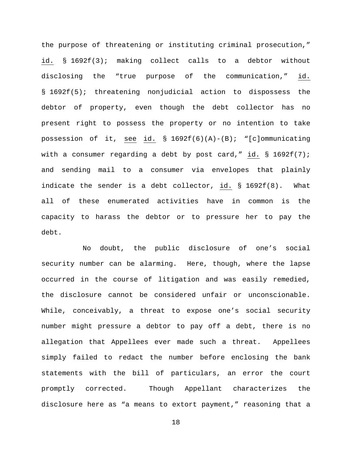the purpose of threatening or instituting criminal prosecution," id. § 1692f(3); making collect calls to a debtor without disclosing the "true purpose of the communication," id. § 1692f(5); threatening nonjudicial action to dispossess the debtor of property, even though the debt collector has no present right to possess the property or no intention to take possession of it, see id. § 1692f(6)(A)-(B); "[c]ommunicating with a consumer regarding a debt by post card," id.  $\S$  1692f(7); and sending mail to a consumer via envelopes that plainly indicate the sender is a debt collector, id. § 1692f(8). What all of these enumerated activities have in common is the capacity to harass the debtor or to pressure her to pay the debt.

No doubt, the public disclosure of one's social security number can be alarming. Here, though, where the lapse occurred in the course of litigation and was easily remedied, the disclosure cannot be considered unfair or unconscionable. While, conceivably, a threat to expose one's social security number might pressure a debtor to pay off a debt, there is no allegation that Appellees ever made such a threat. Appellees simply failed to redact the number before enclosing the bank statements with the bill of particulars, an error the court promptly corrected. Though Appellant characterizes the disclosure here as "a means to extort payment," reasoning that a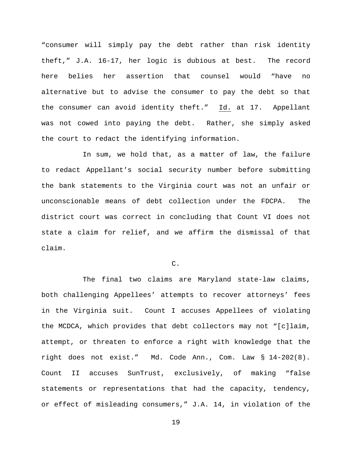"consumer will simply pay the debt rather than risk identity theft," J.A. 16-17, her logic is dubious at best. The record here belies her assertion that counsel would "have no alternative but to advise the consumer to pay the debt so that the consumer can avoid identity theft." Id. at 17. Appellant was not cowed into paying the debt. Rather, she simply asked the court to redact the identifying information.

In sum, we hold that, as a matter of law, the failure to redact Appellant's social security number before submitting the bank statements to the Virginia court was not an unfair or unconscionable means of debt collection under the FDCPA. The district court was correct in concluding that Count VI does not state a claim for relief, and we affirm the dismissal of that claim.

C.

The final two claims are Maryland state-law claims, both challenging Appellees' attempts to recover attorneys' fees in the Virginia suit. Count I accuses Appellees of violating the MCDCA, which provides that debt collectors may not "[c]laim, attempt, or threaten to enforce a right with knowledge that the right does not exist." Md. Code Ann., Com. Law § 14-202(8). Count II accuses SunTrust, exclusively, of making "false statements or representations that had the capacity, tendency, or effect of misleading consumers," J.A. 14, in violation of the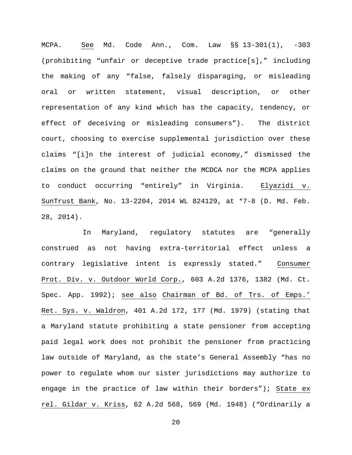MCPA. See Md. Code Ann., Com. Law §§ 13-301(1), -303 (prohibiting "unfair or deceptive trade practice[s]," including the making of any "false, falsely disparaging, or misleading oral or written statement, visual description, or other representation of any kind which has the capacity, tendency, or effect of deceiving or misleading consumers"). The district court, choosing to exercise supplemental jurisdiction over these claims "[i]n the interest of judicial economy," dismissed the claims on the ground that neither the MCDCA nor the MCPA applies to conduct occurring "entirely" in Virginia. Elyazidi v. SunTrust Bank, No. 13-2204, 2014 WL 824129, at \*7-8 (D. Md. Feb. 28, 2014).

In Maryland, regulatory statutes are "generally construed as not having extra-territorial effect unless a contrary legislative intent is expressly stated." Consumer Prot. Div. v. Outdoor World Corp., 603 A.2d 1376, 1382 (Md. Ct. Spec. App. 1992); see also Chairman of Bd. of Trs. of Emps.' Ret. Sys. v. Waldron, 401 A.2d 172, 177 (Md. 1979) (stating that a Maryland statute prohibiting a state pensioner from accepting paid legal work does not prohibit the pensioner from practicing law outside of Maryland, as the state's General Assembly "has no power to regulate whom our sister jurisdictions may authorize to engage in the practice of law within their borders"); State ex rel. Gildar v. Kriss, 62 A.2d 568, 569 (Md. 1948) ("Ordinarily a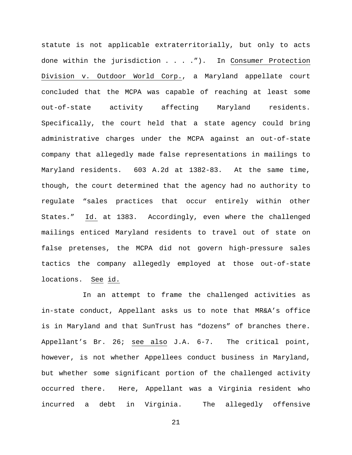statute is not applicable extraterritorially, but only to acts done within the jurisdiction . . . ."). In Consumer Protection Division v. Outdoor World Corp., a Maryland appellate court concluded that the MCPA was capable of reaching at least some out-of-state activity affecting Maryland residents. Specifically, the court held that a state agency could bring administrative charges under the MCPA against an out-of-state company that allegedly made false representations in mailings to Maryland residents. 603 A.2d at 1382-83. At the same time, though, the court determined that the agency had no authority to regulate "sales practices that occur entirely within other States." Id. at 1383. Accordingly, even where the challenged mailings enticed Maryland residents to travel out of state on false pretenses, the MCPA did not govern high-pressure sales tactics the company allegedly employed at those out-of-state locations. See id.

In an attempt to frame the challenged activities as in-state conduct, Appellant asks us to note that MR&A's office is in Maryland and that SunTrust has "dozens" of branches there. Appellant's Br. 26; see also J.A. 6-7. The critical point, however, is not whether Appellees conduct business in Maryland, but whether some significant portion of the challenged activity occurred there. Here, Appellant was a Virginia resident who incurred a debt in Virginia. The allegedly offensive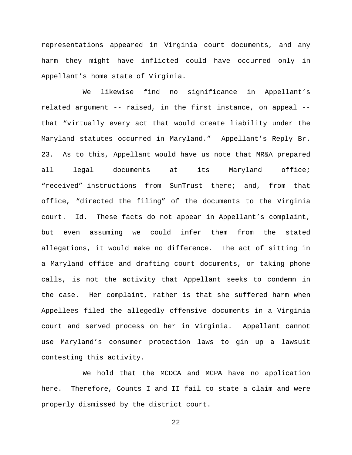representations appeared in Virginia court documents, and any harm they might have inflicted could have occurred only in Appellant's home state of Virginia.

We likewise find no significance in Appellant's related argument -- raised, in the first instance, on appeal - that "virtually every act that would create liability under the Maryland statutes occurred in Maryland." Appellant's Reply Br. 23. As to this, Appellant would have us note that MR&A prepared all legal documents at its Maryland office; "received" instructions from SunTrust there; and, from that office, "directed the filing" of the documents to the Virginia court. Id. These facts do not appear in Appellant's complaint, but even assuming we could infer them from the stated allegations, it would make no difference. The act of sitting in a Maryland office and drafting court documents, or taking phone calls, is not the activity that Appellant seeks to condemn in the case. Her complaint, rather is that she suffered harm when Appellees filed the allegedly offensive documents in a Virginia court and served process on her in Virginia. Appellant cannot use Maryland's consumer protection laws to gin up a lawsuit contesting this activity.

We hold that the MCDCA and MCPA have no application here. Therefore, Counts I and II fail to state a claim and were properly dismissed by the district court.